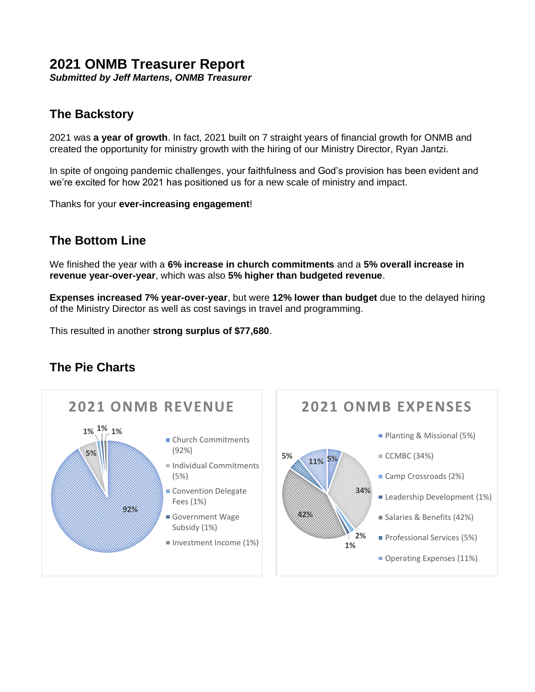## **2021 ONMB Treasurer Report**

*Submitted by Jeff Martens, ONMB Treasurer*

## **The Backstory**

2021 was **a year of growth**. In fact, 2021 built on 7 straight years of financial growth for ONMB and created the opportunity for ministry growth with the hiring of our Ministry Director, Ryan Jantzi.

In spite of ongoing pandemic challenges, your faithfulness and God's provision has been evident and we're excited for how 2021 has positioned us for a new scale of ministry and impact.

Thanks for your **ever-increasing engagement**!

## **The Bottom Line**

We finished the year with a **6% increase in church commitments** and a **5% overall increase in revenue year-over-year**, which was also **5% higher than budgeted revenue**.

**Expenses increased 7% year-over-year**, but were **12% lower than budget** due to the delayed hiring of the Ministry Director as well as cost savings in travel and programming.

This resulted in another **strong surplus of \$77,680**.

### **The Pie Charts**